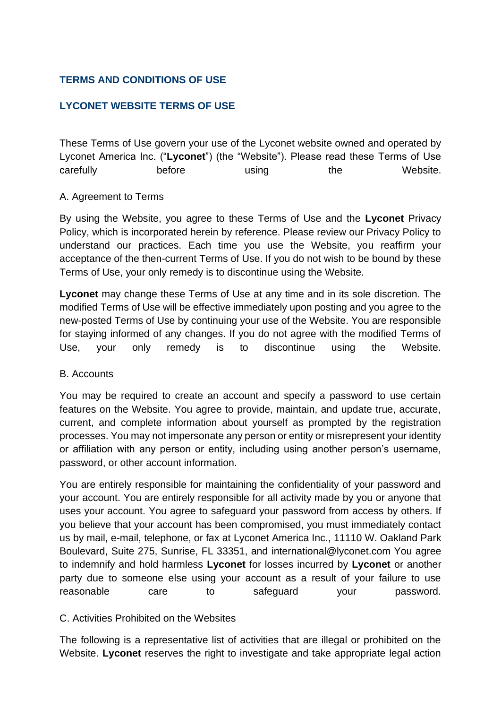# **TERMS AND CONDITIONS OF USE**

# **LYCONET WEBSITE TERMS OF USE**

These Terms of Use govern your use of the Lyconet website owned and operated by Lyconet America Inc. ("**Lyconet**") (the "Website"). Please read these Terms of Use carefully before using the Website.

#### A. Agreement to Terms

By using the Website, you agree to these Terms of Use and the **Lyconet** Privacy Policy, which is incorporated herein by reference. Please review our Privacy Policy to understand our practices. Each time you use the Website, you reaffirm your acceptance of the then-current Terms of Use. If you do not wish to be bound by these Terms of Use, your only remedy is to discontinue using the Website.

**Lyconet** may change these Terms of Use at any time and in its sole discretion. The modified Terms of Use will be effective immediately upon posting and you agree to the new-posted Terms of Use by continuing your use of the Website. You are responsible for staying informed of any changes. If you do not agree with the modified Terms of Use, your only remedy is to discontinue using the Website.

#### B. Accounts

You may be required to create an account and specify a password to use certain features on the Website. You agree to provide, maintain, and update true, accurate, current, and complete information about yourself as prompted by the registration processes. You may not impersonate any person or entity or misrepresent your identity or affiliation with any person or entity, including using another person's username, password, or other account information.

You are entirely responsible for maintaining the confidentiality of your password and your account. You are entirely responsible for all activity made by you or anyone that uses your account. You agree to safeguard your password from access by others. If you believe that your account has been compromised, you must immediately contact us by mail, e-mail, telephone, or fax at Lyconet America Inc., 11110 W. Oakland Park Boulevard, Suite 275, Sunrise, FL 33351, and international@lyconet.com You agree to indemnify and hold harmless **Lyconet** for losses incurred by **Lyconet** or another party due to someone else using your account as a result of your failure to use reasonable care to safeguard your password.

## C. Activities Prohibited on the Websites

The following is a representative list of activities that are illegal or prohibited on the Website. **Lyconet** reserves the right to investigate and take appropriate legal action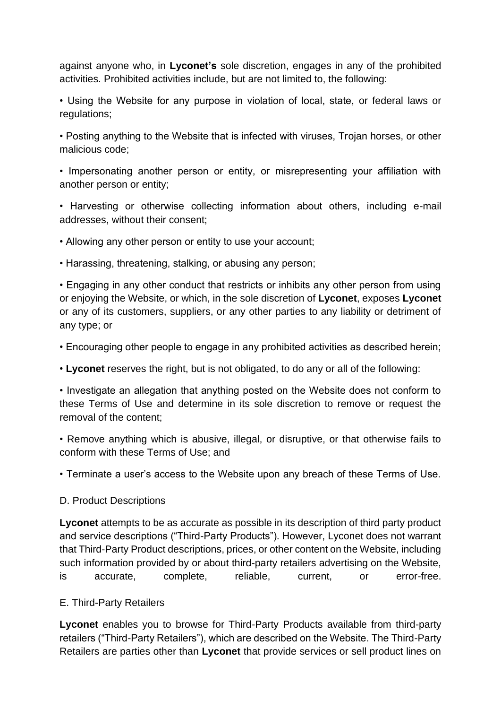against anyone who, in **Lyconet's** sole discretion, engages in any of the prohibited activities. Prohibited activities include, but are not limited to, the following:

• Using the Website for any purpose in violation of local, state, or federal laws or regulations;

• Posting anything to the Website that is infected with viruses, Trojan horses, or other malicious code;

• Impersonating another person or entity, or misrepresenting your affiliation with another person or entity;

• Harvesting or otherwise collecting information about others, including e-mail addresses, without their consent;

• Allowing any other person or entity to use your account;

• Harassing, threatening, stalking, or abusing any person;

• Engaging in any other conduct that restricts or inhibits any other person from using or enjoying the Website, or which, in the sole discretion of **Lyconet**, exposes **Lyconet** or any of its customers, suppliers, or any other parties to any liability or detriment of any type; or

• Encouraging other people to engage in any prohibited activities as described herein;

• **Lyconet** reserves the right, but is not obligated, to do any or all of the following:

• Investigate an allegation that anything posted on the Website does not conform to these Terms of Use and determine in its sole discretion to remove or request the removal of the content;

• Remove anything which is abusive, illegal, or disruptive, or that otherwise fails to conform with these Terms of Use; and

• Terminate a user's access to the Website upon any breach of these Terms of Use.

#### D. Product Descriptions

**Lyconet** attempts to be as accurate as possible in its description of third party product and service descriptions ("Third-Party Products"). However, Lyconet does not warrant that Third-Party Product descriptions, prices, or other content on the Website, including such information provided by or about third-party retailers advertising on the Website, is accurate, complete, reliable, current, or error-free.

## E. Third-Party Retailers

**Lyconet** enables you to browse for Third-Party Products available from third-party retailers ("Third-Party Retailers"), which are described on the Website. The Third-Party Retailers are parties other than **Lyconet** that provide services or sell product lines on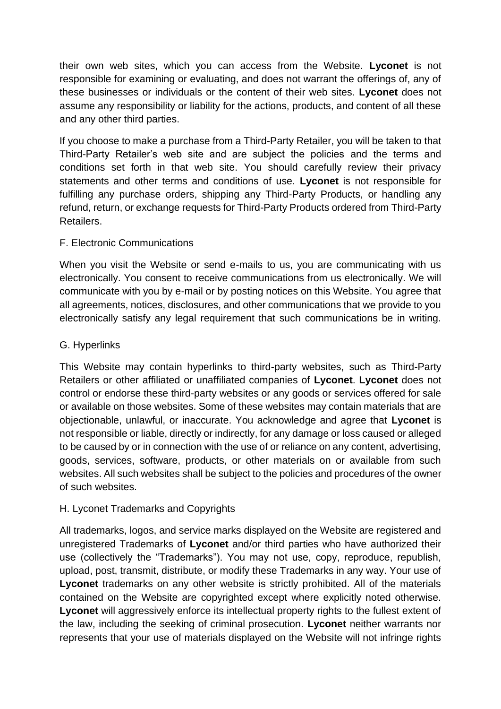their own web sites, which you can access from the Website. **Lyconet** is not responsible for examining or evaluating, and does not warrant the offerings of, any of these businesses or individuals or the content of their web sites. **Lyconet** does not assume any responsibility or liability for the actions, products, and content of all these and any other third parties.

If you choose to make a purchase from a Third-Party Retailer, you will be taken to that Third-Party Retailer's web site and are subject the policies and the terms and conditions set forth in that web site. You should carefully review their privacy statements and other terms and conditions of use. **Lyconet** is not responsible for fulfilling any purchase orders, shipping any Third-Party Products, or handling any refund, return, or exchange requests for Third-Party Products ordered from Third-Party Retailers.

## F. Electronic Communications

When you visit the Website or send e-mails to us, you are communicating with us electronically. You consent to receive communications from us electronically. We will communicate with you by e-mail or by posting notices on this Website. You agree that all agreements, notices, disclosures, and other communications that we provide to you electronically satisfy any legal requirement that such communications be in writing.

# G. Hyperlinks

This Website may contain hyperlinks to third-party websites, such as Third-Party Retailers or other affiliated or unaffiliated companies of **Lyconet**. **Lyconet** does not control or endorse these third-party websites or any goods or services offered for sale or available on those websites. Some of these websites may contain materials that are objectionable, unlawful, or inaccurate. You acknowledge and agree that **Lyconet** is not responsible or liable, directly or indirectly, for any damage or loss caused or alleged to be caused by or in connection with the use of or reliance on any content, advertising, goods, services, software, products, or other materials on or available from such websites. All such websites shall be subject to the policies and procedures of the owner of such websites.

## H. Lyconet Trademarks and Copyrights

All trademarks, logos, and service marks displayed on the Website are registered and unregistered Trademarks of **Lyconet** and/or third parties who have authorized their use (collectively the "Trademarks"). You may not use, copy, reproduce, republish, upload, post, transmit, distribute, or modify these Trademarks in any way. Your use of **Lyconet** trademarks on any other website is strictly prohibited. All of the materials contained on the Website are copyrighted except where explicitly noted otherwise. **Lyconet** will aggressively enforce its intellectual property rights to the fullest extent of the law, including the seeking of criminal prosecution. **Lyconet** neither warrants nor represents that your use of materials displayed on the Website will not infringe rights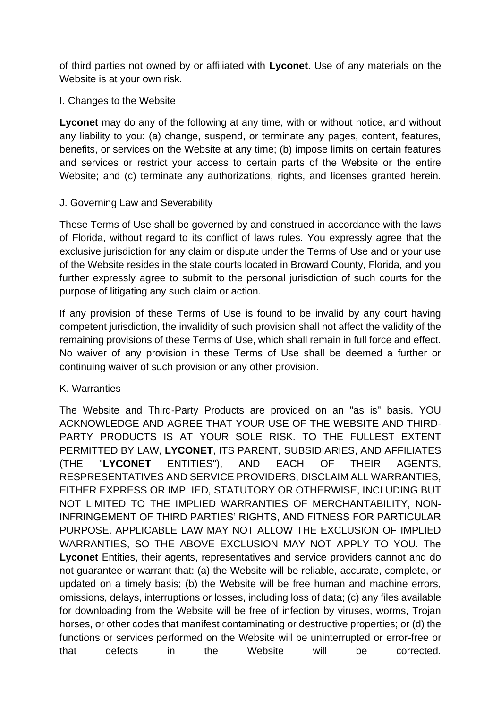of third parties not owned by or affiliated with **Lyconet**. Use of any materials on the Website is at your own risk.

#### I. Changes to the Website

**Lyconet** may do any of the following at any time, with or without notice, and without any liability to you: (a) change, suspend, or terminate any pages, content, features, benefits, or services on the Website at any time; (b) impose limits on certain features and services or restrict your access to certain parts of the Website or the entire Website; and (c) terminate any authorizations, rights, and licenses granted herein.

## J. Governing Law and Severability

These Terms of Use shall be governed by and construed in accordance with the laws of Florida, without regard to its conflict of laws rules. You expressly agree that the exclusive jurisdiction for any claim or dispute under the Terms of Use and or your use of the Website resides in the state courts located in Broward County, Florida, and you further expressly agree to submit to the personal jurisdiction of such courts for the purpose of litigating any such claim or action.

If any provision of these Terms of Use is found to be invalid by any court having competent jurisdiction, the invalidity of such provision shall not affect the validity of the remaining provisions of these Terms of Use, which shall remain in full force and effect. No waiver of any provision in these Terms of Use shall be deemed a further or continuing waiver of such provision or any other provision.

## K. Warranties

The Website and Third-Party Products are provided on an "as is" basis. YOU ACKNOWLEDGE AND AGREE THAT YOUR USE OF THE WEBSITE AND THIRD-PARTY PRODUCTS IS AT YOUR SOLE RISK. TO THE FULLEST EXTENT PERMITTED BY LAW, **LYCONET**, ITS PARENT, SUBSIDIARIES, AND AFFILIATES (THE "**LYCONET** ENTITIES"), AND EACH OF THEIR AGENTS, RESPRESENTATIVES AND SERVICE PROVIDERS, DISCLAIM ALL WARRANTIES, EITHER EXPRESS OR IMPLIED, STATUTORY OR OTHERWISE, INCLUDING BUT NOT LIMITED TO THE IMPLIED WARRANTIES OF MERCHANTABILITY, NON-INFRINGEMENT OF THIRD PARTIES' RIGHTS, AND FITNESS FOR PARTICULAR PURPOSE. APPLICABLE LAW MAY NOT ALLOW THE EXCLUSION OF IMPLIED WARRANTIES, SO THE ABOVE EXCLUSION MAY NOT APPLY TO YOU. The **Lyconet** Entities, their agents, representatives and service providers cannot and do not guarantee or warrant that: (a) the Website will be reliable, accurate, complete, or updated on a timely basis; (b) the Website will be free human and machine errors, omissions, delays, interruptions or losses, including loss of data; (c) any files available for downloading from the Website will be free of infection by viruses, worms, Trojan horses, or other codes that manifest contaminating or destructive properties; or (d) the functions or services performed on the Website will be uninterrupted or error-free or that defects in the Website will be corrected.